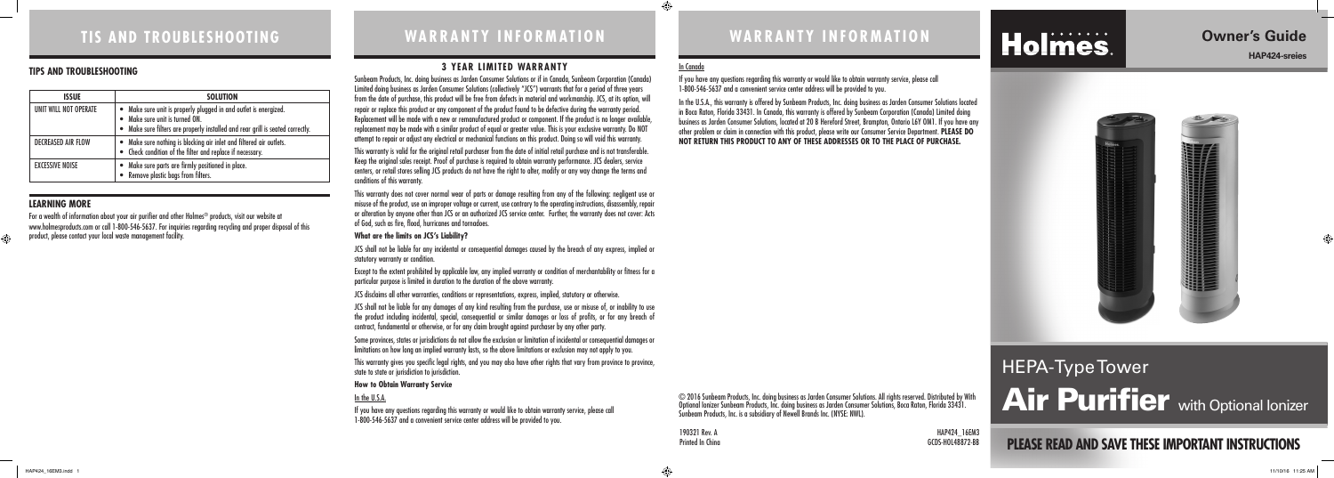#### **3 YEAR LIMITED WARRANTY**

Sunbeam Products, Inc. doing business as Jarden Consumer Solutions or if in Canada, Sunbeam Corporation (Canada) Limited doing business as Jarden Consumer Solutions (collectively "JCS") warrants that for a period of three years from the date of purchase, this product will be free from defects in material and workmanship. JCS, at its option, will repair or replace this product or any component of the product found to be defective during the warranty period. Replacement will be made with a new or remanufactured product or component. If the product is no longer available, replacement may be made with a similar product of equal or greater value. This is your exclusive warranty. Do NOT attempt to repair or adjust any electrical or mechanical functions on this product. Doing so will void this warranty.

This warranty does not cover normal wear of parts or damage resulting from any of the following: negligent use or misuse of the product, use on improper voltage or current, use contrary to the operating instructions, disassembly, repair or alteration by anyone other than JCS or an authorized JCS service center. Further, the warranty does not cover: Acts of God, such as fire, flood, hurricanes and tornadoes.

JCS shall not be liable for any incidental or consequential damages caused by the breach of any express, implied or statutory warranty or condition.

This warranty is valid for the original retail purchaser from the date of initial retail purchase and is not transferable. Keep the original sales receipt. Proof of purchase is required to obtain warranty performance. JCS dealers, service centers, or retail stores selling JCS products do not have the right to alter, modify or any way change the terms and conditions of this warranty.

# HEPA-Type Tower **Air Purifier** with Optional Ionizer

GCDS-HOL48872-BB

#### **What are the limits on JCS's Liability?**

Except to the extent prohibited by applicable law, any implied warranty or condition of merchantability or fitness for a particular purpose is limited in duration to the duration of the above warranty.

JCS disclaims all other warranties, conditions or representations, express, implied, statutory or otherwise.

JCS shall not be liable for any damages of any kind resulting from the purchase, use or misuse of, or inability to use the product including incidental, special, consequential or similar damages or loss of profits, or for any breach of contract, fundamental or otherwise, or for any claim brought against purchaser by any other party.

Some provinces, states or jurisdictions do not allow the exclusion or limitation of incidental or consequential damages or limitations on how long an implied warranty lasts, so the above limitations or exclusion may not apply to you.

In the U.S.A., this warranty is offered by Sunbeam Products, Inc. doing business as Jarden Consumer Solutions located in Boca Raton, Florida 33431. In Canada, this warranty is offered by Sunbeam Corporation (Canada) Limited doing business as Jarden Consumer Solutions, located at 20 B Hereford Street, Brampton, Ontario L6Y OM1. If you have any other problem or claim in connection with this product, please write our Consumer Service Department. **PLEASE DO NOT RETURN THIS PRODUCT TO ANY OF THESE ADDRESSES OR TO THE PLACE OF PURCHASE.** 

♠

# Holmes.

This warranty gives you specific legal rights, and you may also have other rights that vary from province to province, state to state or jurisdiction to jurisdiction.

#### **How to Obtain Warranty Service**

#### In the U.S.A.

If you have any questions regarding this warranty or would like to obtain warranty service, please call 1-800-546-5637 and a convenient service center address will be provided to you.

# **TIS AND TROUBLESHOOTING WARRANTY INFORMATION WARRANTY INFORMATION**

**PLEASE READ AND SAVE THESE IMPORTANT INSTRUCTIONS**

# **Owner's Guide**

**HAP424-sreies**



#### **LEARNING MORE**

For a wealth of information about your air purifier and other Holmes® products, visit our website at www.holmesproducts.com or call 1-800-546-5637. For inquiries regarding recycling and proper disposal of this product, please contact your local waste management facility.

#### **TIPS AND TROUBLESHOOTING**

| <b>ISSUE</b>              | <b>SOLUTION</b>                                                                                                                                                                      |  |  |
|---------------------------|--------------------------------------------------------------------------------------------------------------------------------------------------------------------------------------|--|--|
| UNIT WILL NOT OPERATE     | • Make sure unit is properly plugged in and outlet is energized.<br>• Make sure unit is turned ON.<br>• Make sure filters are properly installed and rear grill is seated correctly. |  |  |
| <b>DECREASED AIR FLOW</b> | • Make sure nothing is blocking air inlet and filtered air outlets.<br>• Check condition of the filter and replace if necessary.                                                     |  |  |
| <b>EXCESSIVE NOISE</b>    | • Make sure parts are firmly positioned in place.<br>• Remove plastic bags from filters.                                                                                             |  |  |

© 2016 Sunbeam Products, Inc. doing business as Jarden Consumer Solutions. All rights reserved. Distributed by With Optional Ionizer Sunbeam Products, Inc. doing business as Jarden Consumer Solutions, Boca Raton, Florida 33431. Sunbeam Products, Inc. is a subsidiary of Newell Brands Inc. (NYSE: NWL).

190321 Rev. A **HAP424\_16EM3**<br>Printed In Ching

# In Canada

If you have any questions regarding this warranty or would like to obtain warranty service, please call 1-800-546-5637 and a convenient service center address will be provided to you.